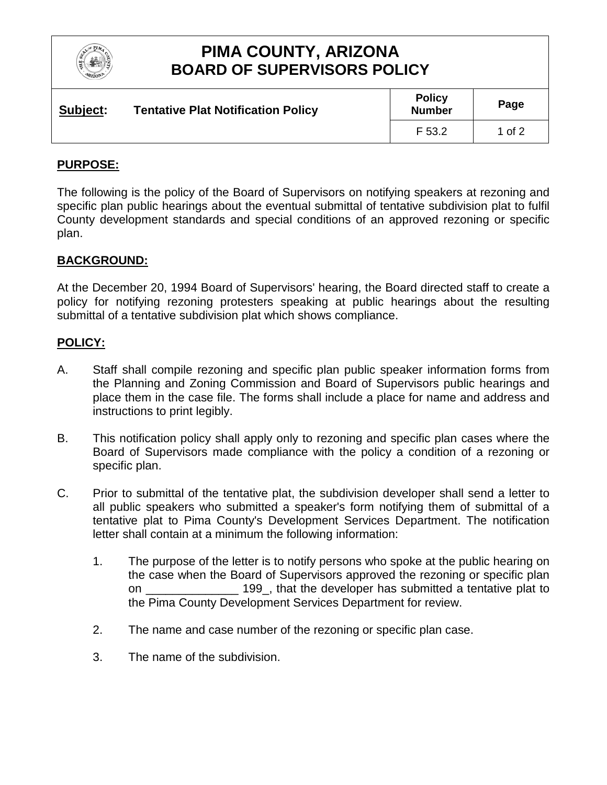

## **PIMA COUNTY, ARIZONA BOARD OF SUPERVISORS POLICY**

| Subject: | <b>Tentative Plat Notification Policy</b> | <b>Policy</b><br><b>Number</b> | Page   |
|----------|-------------------------------------------|--------------------------------|--------|
|          |                                           | F 53.2                         | 1 of 2 |

### **PURPOSE:**

The following is the policy of the Board of Supervisors on notifying speakers at rezoning and specific plan public hearings about the eventual submittal of tentative subdivision plat to fulfil County development standards and special conditions of an approved rezoning or specific plan.

### **BACKGROUND:**

At the December 20, 1994 Board of Supervisors' hearing, the Board directed staff to create a policy for notifying rezoning protesters speaking at public hearings about the resulting submittal of a tentative subdivision plat which shows compliance.

### **POLICY:**

- A. Staff shall compile rezoning and specific plan public speaker information forms from the Planning and Zoning Commission and Board of Supervisors public hearings and place them in the case file. The forms shall include a place for name and address and instructions to print legibly.
- B. This notification policy shall apply only to rezoning and specific plan cases where the Board of Supervisors made compliance with the policy a condition of a rezoning or specific plan.
- C. Prior to submittal of the tentative plat, the subdivision developer shall send a letter to all public speakers who submitted a speaker's form notifying them of submittal of a tentative plat to Pima County's Development Services Department. The notification letter shall contain at a minimum the following information:
	- 1. The purpose of the letter is to notify persons who spoke at the public hearing on the case when the Board of Supervisors approved the rezoning or specific plan on \_\_\_\_\_\_\_\_\_\_\_\_\_\_ 199\_, that the developer has submitted a tentative plat to the Pima County Development Services Department for review.
	- 2. The name and case number of the rezoning or specific plan case.
	- 3. The name of the subdivision.